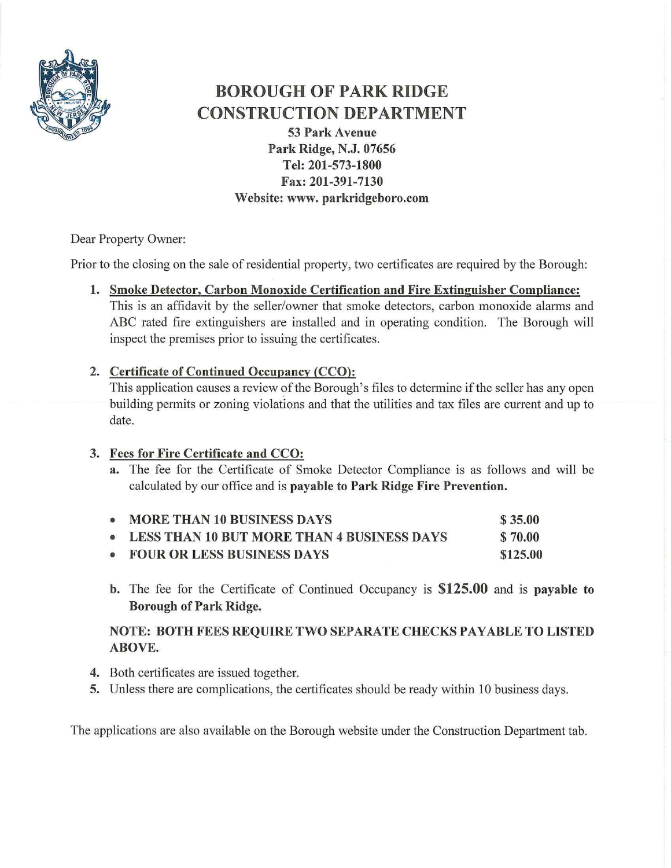

# **BOROUGH OF PARK RIDGE CONSTRUCTION DEPARTMENT**

**53 Park A venue Park Ridge, N.J. 07656 Tel: 201-573-1800 Fax: 201-391-7130 Website:www.parkridgeboro.com** 

Dear Property Owner:

Prior to the closing on the sale of residential property, two certificates are required by the Borough:

**1. Smoke Detector, Carbon Monoxide Certification and Fire Extinguisher Compliance:** 

This is an affidavit by the seller/owner that smoke detectors, carbon monoxide alarms and ABC rated fire extinguishers are installed and in operating condition. The Borough will inspect the premises prior to issuing the certificates.

# **2. Certificate of Continued Occupancy (CCO):**

This application causes a review of the Borough's files to determine if the seller has any open building permits or zoning violations and that the utilities and tax files are current and up to date.

# **3. Fees for Fire Certificate and CCO:**

**a.** The fee for the Certificate of Smoke Detector Compliance is as follows and will be calculated by our office and is **payable to Park Ridge Fire Prevention.** 

| • MORE THAN 10 BUSINESS DAYS                 | \$35.00  |
|----------------------------------------------|----------|
| • LESS THAN 10 BUT MORE THAN 4 BUSINESS DAYS | \$70.00  |
| • FOUR OR LESS BUSINESS DAYS                 | \$125.00 |

**b.** The fee for the Certificate of Continued Occupancy is **\$125.00** and is **payable to Borough of Park Ridge.** 

# **NOTE: BOTH FEES REQUIRE TWO SEPARATE CHECKS PAYABLE TO LISTED ABOVE.**

- 4. Both certificates are issued together.
- **5.** Unless there are complications, the certificates should be ready within 10 business days.

The applications are also available on the Borough website under the Construction Department tab.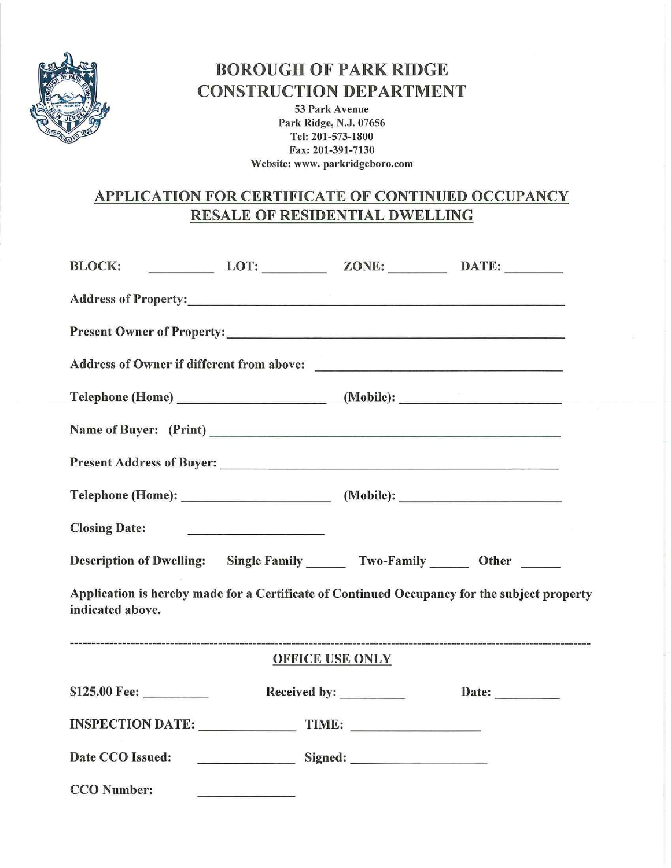

# BOROUGH OF PARK RIDGE CONSTRUCTION DEPARTMENT

53 Park Avenue Park Ridge, N.J. 07656 Tel: 201-573-1800 Fax: 201-391-7130 Website: www. parkridgeboro.com

# APPLICATION FOR CERTIFICATE OF CONTINUED OCCUPANCY RESALE OF RESIDENTIAL DWELLING

| <b>BLOCK:</b>                                                                  |                                                                                                                        |                        |                                                                                              |
|--------------------------------------------------------------------------------|------------------------------------------------------------------------------------------------------------------------|------------------------|----------------------------------------------------------------------------------------------|
|                                                                                |                                                                                                                        |                        |                                                                                              |
| Present Owner of Property:                                                     |                                                                                                                        |                        |                                                                                              |
|                                                                                |                                                                                                                        |                        |                                                                                              |
|                                                                                |                                                                                                                        |                        |                                                                                              |
| Name of Buyer: (Print)<br><u> </u>                                             |                                                                                                                        |                        |                                                                                              |
|                                                                                |                                                                                                                        |                        |                                                                                              |
|                                                                                |                                                                                                                        |                        |                                                                                              |
| <b>Closing Date:</b>                                                           | <u> 1986 - Johann Harry Barn, mars and de Branch and de Branch and de Branch and de Branch and de Branch and de Br</u> |                        |                                                                                              |
| Description of Dwelling: Single Family _______ Two-Family _______ Other ______ |                                                                                                                        |                        |                                                                                              |
| indicated above.                                                               |                                                                                                                        |                        | Application is hereby made for a Certificate of Continued Occupancy for the subject property |
|                                                                                |                                                                                                                        | <b>OFFICE USE ONLY</b> |                                                                                              |
|                                                                                |                                                                                                                        |                        | Date: __________                                                                             |
|                                                                                |                                                                                                                        |                        |                                                                                              |
|                                                                                |                                                                                                                        |                        |                                                                                              |
| <b>CCO</b> Number:                                                             |                                                                                                                        |                        |                                                                                              |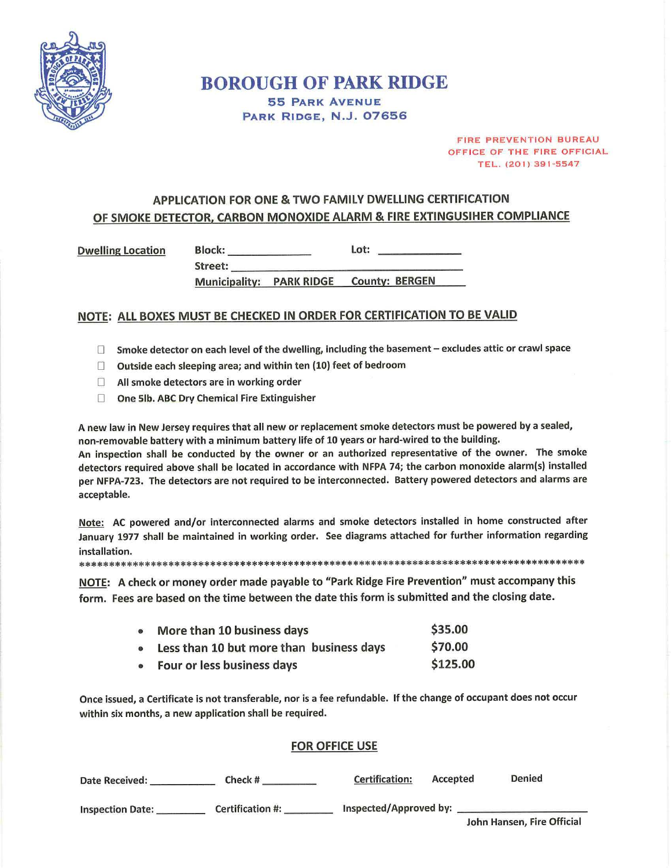

## **BOROUGH OF PARK RIDGE 55 PARK AVENUE PARK RIDGE, N.J. 07656**

FIRE PREVENTION BUREAU OFFICE OF THE FIRE OFFICIAL TEL. (201) 391-5547

### APPLICATION FOR ONE & TWO FAMILY DWELLING CERTIFICATION OF SMOKE DETECTOR, CARBON MONOXIDE ALARM & FIRE EXTINGUSIHER COMPLIANCE

**Dwelling Location** 

Lot:  $\qquad \qquad$ 

Street: Municipality: PARK RIDGE County: BERGEN

### NOTE: ALL BOXES MUST BE CHECKED IN ORDER FOR CERTIFICATION TO BE VALID

- $\Box$  Smoke detector on each level of the dwelling, including the basement excludes attic or crawl space
- $\Box$  Outside each sleeping area; and within ten (10) feet of bedroom

**Block:** 

- $\Box$  All smoke detectors are in working order
- □ One 5lb. ABC Dry Chemical Fire Extinguisher

A new law in New Jersey requires that all new or replacement smoke detectors must be powered by a sealed, non-removable battery with a minimum battery life of 10 years or hard-wired to the building.

An inspection shall be conducted by the owner or an authorized representative of the owner. The smoke detectors required above shall be located in accordance with NFPA 74; the carbon monoxide alarm(s) installed per NFPA-723. The detectors are not required to be interconnected. Battery powered detectors and alarms are acceptable.

Note: AC powered and/or interconnected alarms and smoke detectors installed in home constructed after January 1977 shall be maintained in working order. See diagrams attached for further information regarding installation.

NOTE: A check or money order made payable to "Park Ridge Fire Prevention" must accompany this form. Fees are based on the time between the date this form is submitted and the closing date.

| $\bullet$ | More than 10 business days               | \$35.00  |
|-----------|------------------------------------------|----------|
| $\bullet$ | Less than 10 but more than business days | \$70.00  |
| $\bullet$ | Four or less business days               | \$125.00 |

Once issued, a Certificate is not transferable, nor is a fee refundable. If the change of occupant does not occur within six months, a new application shall be required.

### **FOR OFFICE USE**

| <b>Date Received:</b>   | Check #                 | <b>Certification:</b>  | Accepted | Denied                     |
|-------------------------|-------------------------|------------------------|----------|----------------------------|
| <b>Inspection Date:</b> | <b>Certification #:</b> | Inspected/Approved by: |          | John Hansen, Fire Official |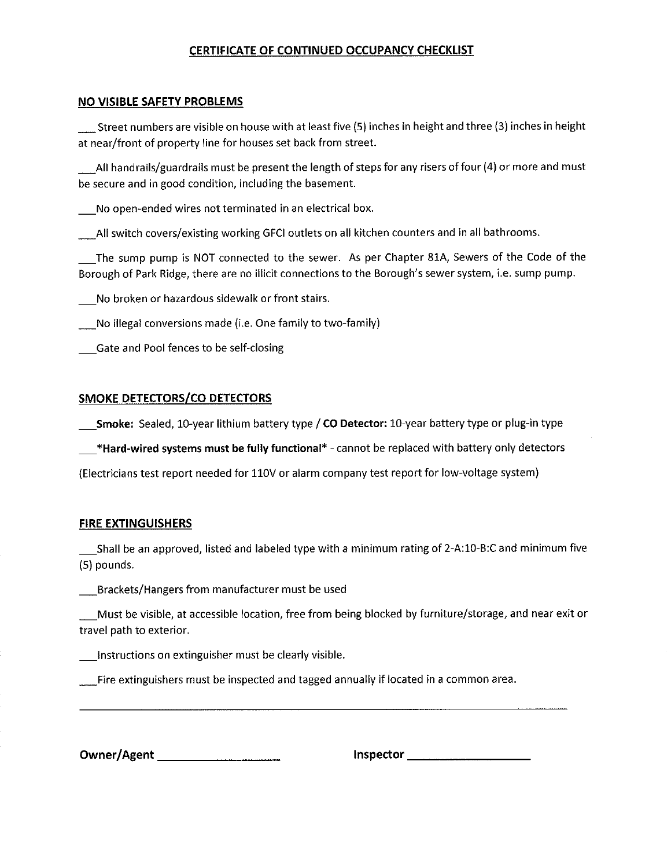### **CERTIFICATE OF CONTINUED OCCUPANCY CHECKLIST**

#### **NO VISIBLE SAFETY PROBLEMS**

\_Street numbers are visible on house with at least five (5) inches in height and three (3) inches in height at near/front of property line for houses set back from street.

\_All handrails/guardrails must be present the length of steps for any risers of four (4) or more and must be secure and in good condition, including the basement.

\_No open-ended wires not terminated in an electrical box.

\_All switch covers/existing working GFCI outlets on all kitchen counters and in all bathrooms.

\_The sump pump is NOT connected to the sewer. As per Chapter 81A, Sewers of the Code of the Borough of Park Ridge, there are no illicit connections to the Borough's sewer system, i.e. sump pump.

No broken or hazardous sidewalk or front stairs.

\_No illegal conversions made (i.e. One family to two-family)

\_Gate and Pool fences to be self-closing

#### **SMOKE DETECTORS/CO DETECTORS**

**\_Smoke:** Sealed, 10-year lithium battery type/ **CO Detector:** 10-year battery type or plug-in type

**\_\*Hard-wired systems must be fully functional\*** - cannot be replaced with battery only detectors

(Electricians test report needed for 110V or alarm company test report for low-voltage system)

#### **FIRE EXTINGUISHERS**

\_Shall be an approved, listed and labeled type with a minimum rating of 2-A:10-B:C and minimum five (5) pounds.

\_Brackets/Hangers from manufacturer must be used

\_Must be visible, at accessible location, free from being blocked by furniture/storage, and near exit or travel path to exterior.

Instructions on extinguisher must be clearly visible.

\_Fire extinguishers must be inspected and tagged annually if located in a common area.

| Owner/Agent |  |
|-------------|--|
|             |  |

**Inspector \_\_\_\_\_\_\_\_\_\_\_\_\_\_\_\_\_\_\_\_\_\_**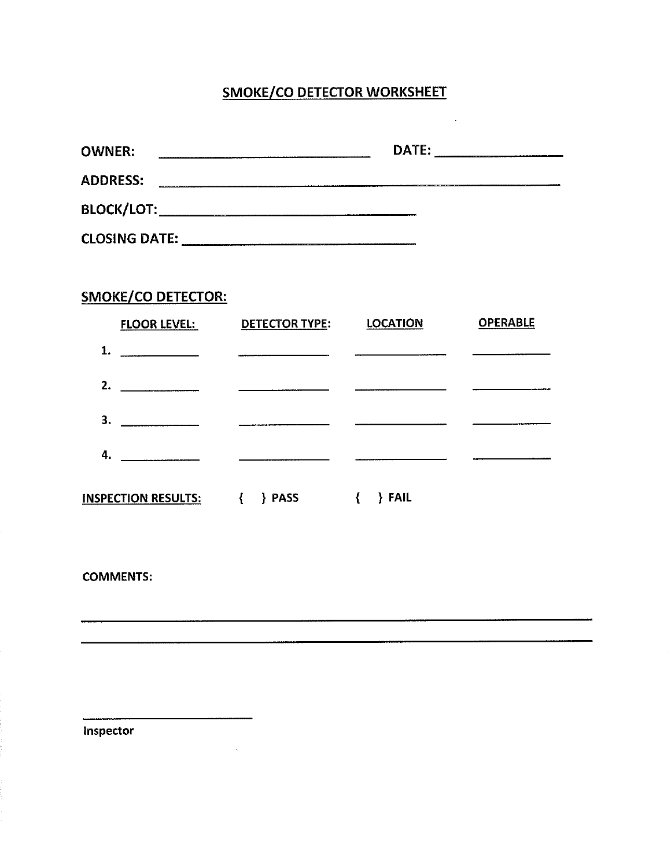# SMOKE/CO DETECTOR WORKSHEET

 $\hat{\mathcal{A}}$ 

| <b>OWNER:</b>        | DATE: |
|----------------------|-------|
| <b>ADDRESS:</b>      |       |
| <b>BLOCK/LOT:</b>    |       |
| <b>CLOSING DATE:</b> |       |

# SMOKE/CO DETECTOR:

| <b>FLOOR LEVEL:</b>        | DETECTOR TYPE:   | <b>LOCATION</b> | <b>OPERABLE</b> |
|----------------------------|------------------|-----------------|-----------------|
| 1.                         |                  |                 |                 |
| 2.                         |                  |                 |                 |
| 3.                         |                  |                 |                 |
| 4.                         |                  |                 |                 |
| <b>INSPECTION RESULTS:</b> | <b>PASS</b><br>€ | <b>FAIL</b>     |                 |

COMMENTS:

Inspector

 $\sim 10^{11}$  km s  $^{-1}$